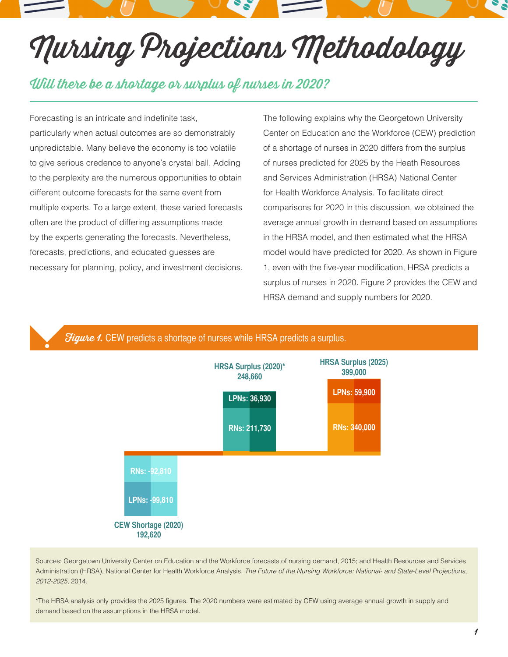# Nursing Projections Methodology

## Will there be a shortage or surplus of nurses in 2020?

Forecasting is an intricate and indefinite task, particularly when actual outcomes are so demonstrably unpredictable. Many believe the economy is too volatile to give serious credence to anyone's crystal ball. Adding to the perplexity are the numerous opportunities to obtain different outcome forecasts for the same event from multiple experts. To a large extent, these varied forecasts often are the product of differing assumptions made by the experts generating the forecasts. Nevertheless, forecasts, predictions, and educated guesses are necessary for planning, policy, and investment decisions.

The following explains why the Georgetown University Center on Education and the Workforce (CEW) prediction of a shortage of nurses in 2020 differs from the surplus of nurses predicted for 2025 by the Heath Resources and Services Administration (HRSA) National Center for Health Workforce Analysis. To facilitate direct comparisons for 2020 in this discussion, we obtained the average annual growth in demand based on assumptions in the HRSA model, and then estimated what the HRSA model would have predicted for 2020. As shown in Figure 1, even with the five-year modification, HRSA predicts a surplus of nurses in 2020. Figure 2 provides the CEW and HRSA demand and supply numbers for 2020.



Sources: Georgetown University Center on Education and the Workforce forecasts of nursing demand, 2015; and Health Resources and Services Administration (HRSA), National Center for Health Workforce Analysis, *The Future of the Nursing Workforce: National- and State-Level Projections, 2012-2025*, 2014.

\*The HRSA analysis only provides the 2025 figures. The 2020 numbers were estimated by CEW using average annual growth in supply and demand based on the assumptions in the HRSA model.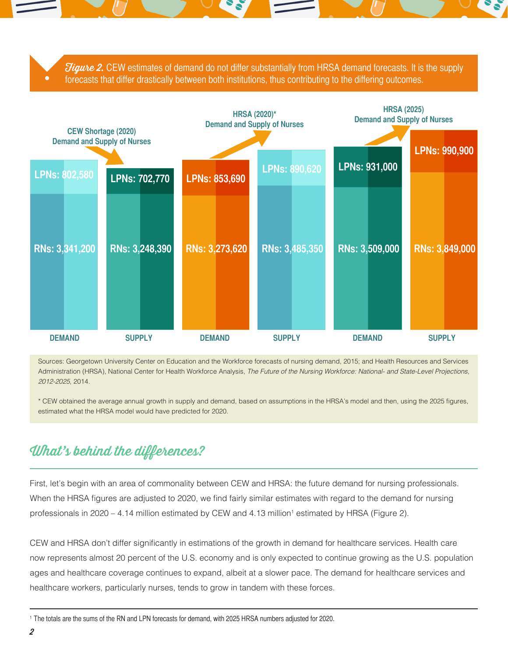**Figure 2.** CEW estimates of demand do not differ substantially from HRSA demand forecasts. It is the supply forecasts that differ drastically between both institutions, thus contributing to the differing outcomes.



Sources: Georgetown University Center on Education and the Workforce forecasts of nursing demand, 2015; and Health Resources and Services Administration (HRSA), National Center for Health Workforce Analysis, *The Future of the Nursing Workforce: National- and State-Level Projections, 2012-2025*, 2014.

\* CEW obtained the average annual growth in supply and demand, based on assumptions in the HRSA's model and then, using the 2025 figures, estimated what the HRSA model would have predicted for 2020.

## What's behind the differences?

First, let's begin with an area of commonality between CEW and HRSA: the future demand for nursing professionals. When the HRSA figures are adjusted to 2020, we find fairly similar estimates with regard to the demand for nursing professionals in 2020 – 4.14 million estimated by CEW and 4.13 million<sup>1</sup> estimated by HRSA (Figure 2).

CEW and HRSA don't differ significantly in estimations of the growth in demand for healthcare services. Health care now represents almost 20 percent of the U.S. economy and is only expected to continue growing as the U.S. population ages and healthcare coverage continues to expand, albeit at a slower pace. The demand for healthcare services and healthcare workers, particularly nurses, tends to grow in tandem with these forces.

1 The totals are the sums of the RN and LPN forecasts for demand, with 2025 HRSA numbers adjusted for 2020.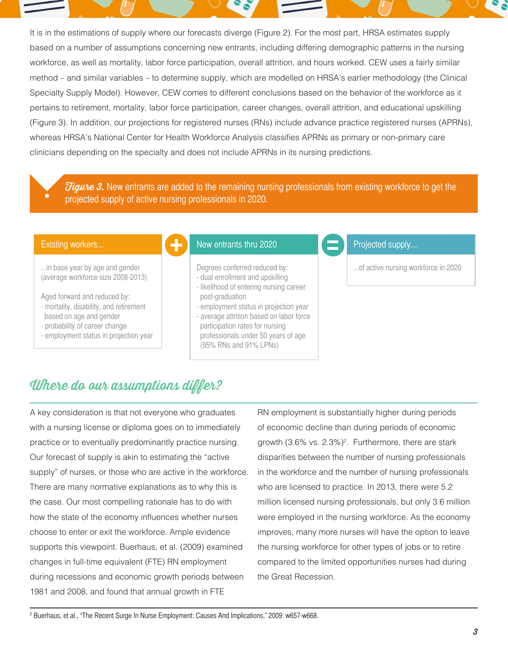It is in the estimations of supply where our forecasts diverge (Figure 2). For the most part, HRSA estimates supply based on a number of assumptions concerning new entrants, including differing demographic patterns in the nursing workforce, as well as mortality, labor force participation, overall attrition, and hours worked. CEW uses a fairly similar method – and similar variables – to determine supply, which are modelled on HRSA's earlier methodology (the Clinical Specialty Supply Model). However, CEW comes to different conclusions based on the behavior of the workforce as it pertains to retirement, mortality, labor force participation, career changes, overall attrition, and educational upskilling (Figure 3). In addition, our projections for registered nurses (RNs) include advance practice registered nurses (APRNs), whereas HRSA's National Center for Health Workforce Analysis classifies APRNs as primary or non-primary care clinicians depending on the specialty and does not include APRNs in its nursing predictions.

**Figure 3.** New entrants are added to the remaining nursing professionals from existing workforce to get the projected supply of active nursing professionals in 2020.

#### Existing workers...

...in base year by age and gender (average workforce size 2008-2013)

Aged forward and reduced by:

- mortality, disability, and retirement
- based on age and gender
- probability of career change
- employment status in projection year

## New entrants thru 2020

Degrees conferred reduced by: - dual enrollment and upskilling

- likelihood of entering nursing career post-graduation
- employment status in projection year
- average attrition based on labor force participation rates for nursing professionals under 50 years of age (95% RNs and 91% LPNs)

### Projected supply...

...of active nursing workforce in 2020

# Where do our assumptions differ?

A key consideration is that not everyone who graduates with a nursing license or diploma goes on to immediately practice or to eventually predominantly practice nursing. Our forecast of supply is akin to estimating the "active supply" of nurses, or those who are active in the workforce. There are many normative explanations as to why this is the case. Our most compelling rationale has to do with how the state of the economy influences whether nurses choose to enter or exit the workforce. Ample evidence supports this viewpoint. Buerhaus, et al. (2009) examined changes in full-time equivalent (FTE) RN employment during recessions and economic growth periods between 1981 and 2008, and found that annual growth in FTE

RN employment is substantially higher during periods of economic decline than during periods of economic growth (3.6% vs. 2.3%)<sup>2</sup>. Furthermore, there are stark disparities between the number of nursing professionals in the workforce and the number of nursing professionals who are licensed to practice. In 2013, there were 5.2 million licensed nursing professionals, but only 3.6 million were employed in the nursing workforce. As the economy improves, many more nurses will have the option to leave the nursing workforce for other types of jobs or to retire compared to the limited opportunities nurses had during the Great Recession.